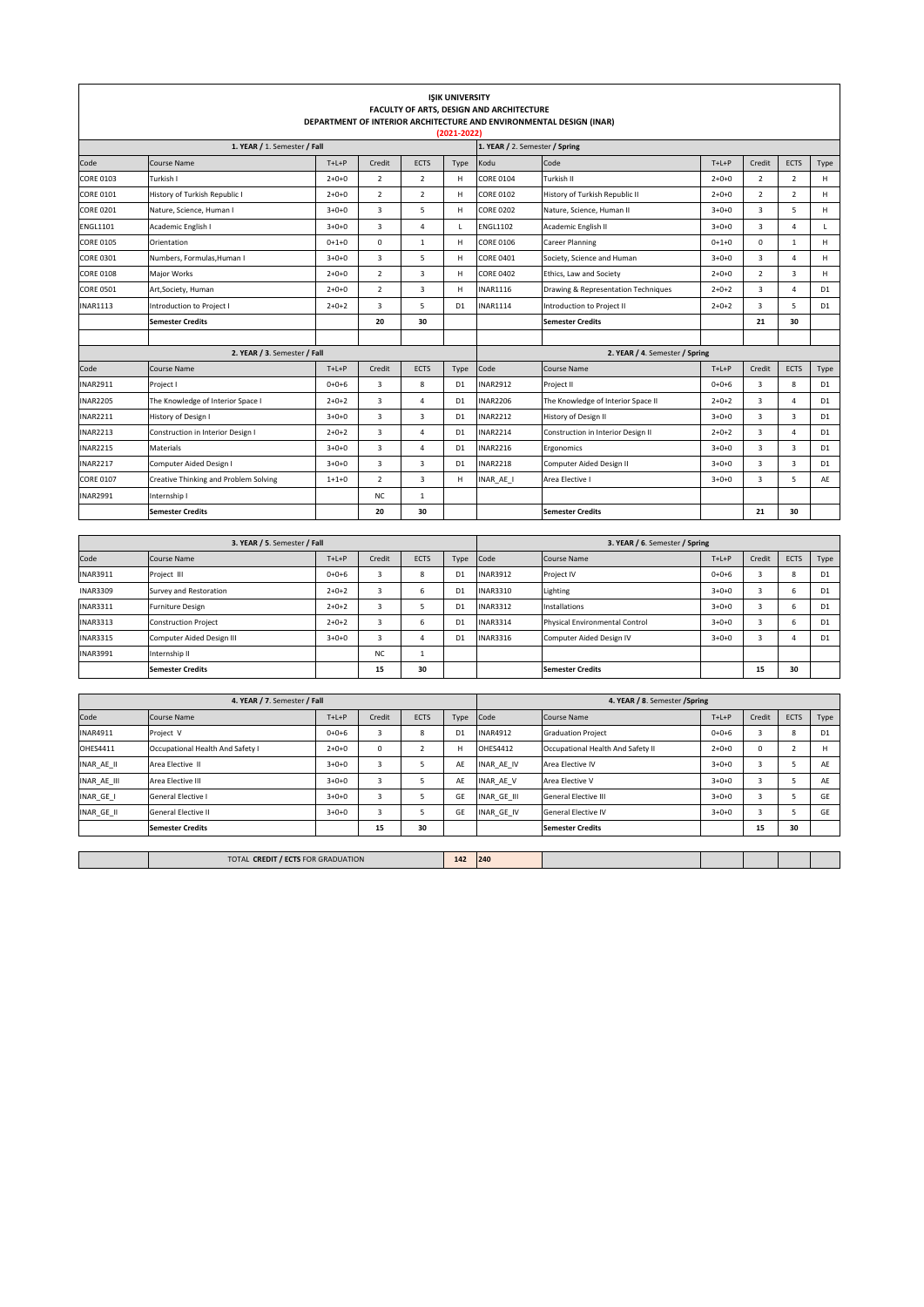| <b>ISIK UNIVERSITY</b><br>FACULTY OF ARTS, DESIGN AND ARCHITECTURE<br>DEPARTMENT OF INTERIOR ARCHITECTURE AND ENVIRONMENTAL DESIGN (INAR)<br>(2021-2022) |                                       |             |                         |                          |                                                                   |                                |                                     |             |                         |                         |                |  |
|----------------------------------------------------------------------------------------------------------------------------------------------------------|---------------------------------------|-------------|-------------------------|--------------------------|-------------------------------------------------------------------|--------------------------------|-------------------------------------|-------------|-------------------------|-------------------------|----------------|--|
| 1. YEAR / 1. Semester / Fall                                                                                                                             |                                       |             |                         |                          |                                                                   |                                | 1. YEAR / 2. Semester / Spring      |             |                         |                         |                |  |
| Code                                                                                                                                                     | Course Name                           | $T+L+P$     | Credit                  | ECTS                     | Type                                                              | Kodu                           | Code                                | $T+L+P$     | Credit                  | <b>ECTS</b>             | Type           |  |
| <b>CORE 0103</b>                                                                                                                                         | Turkish I                             | $2 + 0 + 0$ | $\overline{2}$          | $\overline{\phantom{0}}$ | н                                                                 | <b>CORE 0104</b>               | Turkish II                          | $2 + 0 + 0$ | $\overline{2}$          | $\overline{2}$          | H              |  |
| <b>CORE 0101</b>                                                                                                                                         | History of Turkish Republic I         | $2 + 0 + 0$ | $\overline{2}$          | $\overline{z}$           | H                                                                 | <b>CORE 0102</b>               | History of Turkish Republic II      | $2 + 0 + 0$ | $\overline{2}$          | $\overline{2}$          | H              |  |
| <b>CORE 0201</b>                                                                                                                                         | Nature, Science, Human I              | $3+0+0$     | $\overline{3}$          | 5                        | H                                                                 | <b>CORE 0202</b>               | Nature, Science, Human II           | $3 + 0 + 0$ | 3                       | 5                       | H              |  |
| <b>ENGL1101</b>                                                                                                                                          | Academic English I                    | $3+0+0$     | $\overline{3}$          | $\overline{4}$           | $\mathbf{I}$                                                      | <b>ENGL1102</b>                | Academic English II                 | $3 + 0 + 0$ | 3                       | $\overline{4}$          | $\mathbf{I}$   |  |
| <b>CORE 0105</b>                                                                                                                                         | Orientation                           | $0 + 1 + 0$ | $\pmb{0}$               | $\mathbf{1}$             | H                                                                 | <b>CORE 0106</b>               | Career Planning                     | $0+1+0$     | 0                       | 1                       | H              |  |
| <b>CORE 0301</b>                                                                                                                                         | Numbers, Formulas, Human I            | $3 + 0 + 0$ | $\overline{\mathbf{3}}$ | 5                        | $\mathsf{H}% _{\mathsf{H}}^{\ast}=\mathsf{H}_{\mathsf{H}}^{\ast}$ | <b>CORE 0401</b>               | Society, Science and Human          | $3 + 0 + 0$ | 3                       | $\Delta$                | H              |  |
| <b>CORE 0108</b>                                                                                                                                         | Major Works                           | $2 + 0 + 0$ | $\overline{\mathbf{c}}$ | 3                        | н                                                                 | <b>CORE 0402</b>               | Ethics, Law and Society             |             | 2                       | 3                       | H              |  |
| CORE 0501                                                                                                                                                | Art, Society, Human                   | $2 + 0 + 0$ | $\overline{\mathbf{2}}$ | 3                        | н                                                                 | INAR1116                       | Drawing & Representation Techniques | $2 + 0 + 2$ | 3                       | $\sqrt{4}$              | D <sub>1</sub> |  |
| <b>INAR1113</b>                                                                                                                                          | Introduction to Project I             | $2 + 0 + 2$ | 3                       | 5                        | D <sub>1</sub>                                                    | INAR1114                       | Introduction to Project II          |             | 3                       | 5                       | D <sub>1</sub> |  |
|                                                                                                                                                          | <b>Semester Credits</b>               |             | 20                      | 30                       |                                                                   |                                | <b>Semester Credits</b>             |             | 21                      | 30                      |                |  |
|                                                                                                                                                          |                                       |             |                         |                          |                                                                   |                                |                                     |             |                         |                         |                |  |
|                                                                                                                                                          | 2. YEAR / 3. Semester / Fall          |             |                         |                          |                                                                   | 2. YEAR / 4. Semester / Spring |                                     |             |                         |                         |                |  |
| Code                                                                                                                                                     | Course Name                           | $T+L+P$     | Credit                  | ECTS                     | Type                                                              | Code                           | Course Name                         | $T+L+P$     | Credit                  | <b>ECTS</b>             | Type           |  |
| <b>INAR2911</b>                                                                                                                                          | Project I                             | $0 + 0 + 6$ | 3                       | 8                        | D <sub>1</sub>                                                    | <b>INAR2912</b>                | Project II                          | $0 + 0 + 6$ | 3                       | 8                       | D <sub>1</sub> |  |
| <b>INAR2205</b>                                                                                                                                          | The Knowledge of Interior Space I     | $2 + 0 + 2$ | 3                       | 4                        | D <sub>1</sub>                                                    | <b>INAR2206</b>                | The Knowledge of Interior Space II  | $2 + 0 + 2$ | 3                       | $\overline{4}$          | D1             |  |
| <b>INAR2211</b>                                                                                                                                          | History of Design I                   | $3 + 0 + 0$ | $\overline{3}$          | $\overline{3}$           | D <sub>1</sub>                                                    | <b>INAR2212</b>                | History of Design II                | $3+0+0$     | 3                       | $\overline{3}$          | D1             |  |
| <b>INAR2213</b>                                                                                                                                          | Construction in Interior Design I     | $2 + 0 + 2$ | $\overline{3}$          | $\overline{4}$           | D <sub>1</sub>                                                    | <b>INAR2214</b>                | Construction in Interior Design II  | $2+0+2$     | $\overline{\mathbf{3}}$ | $\overline{4}$          | D1             |  |
| <b>INAR2215</b>                                                                                                                                          | Materials                             | $3 + 0 + 0$ | $\overline{3}$          | $\overline{4}$           | D <sub>1</sub>                                                    | <b>INAR2216</b>                | Ergonomics                          | $3+0+0$     | $\overline{3}$          | 3                       | D <sub>1</sub> |  |
| <b>INAR2217</b>                                                                                                                                          | Computer Aided Design I               | $3 + 0 + 0$ | $\overline{3}$          | $\overline{3}$           | D <sub>1</sub>                                                    | <b>INAR2218</b>                | Computer Aided Design II            | $3 + 0 + 0$ | $\overline{\mathbf{3}}$ | $\overline{\mathbf{3}}$ | D1             |  |
| <b>CORE 0107</b>                                                                                                                                         | Creative Thinking and Problem Solving | $1 + 1 + 0$ | $\overline{\mathbf{2}}$ | $\overline{3}$           | H                                                                 | INAR_AE_I                      | Area Elective I                     | $3 + 0 + 0$ | 3                       | 5                       | AF             |  |
| <b>INAR2991</b>                                                                                                                                          | Internship I                          |             | <b>NC</b>               | $\mathbf{1}$             |                                                                   |                                |                                     |             |                         |                         |                |  |
|                                                                                                                                                          | <b>Semester Credits</b>               |             | 20                      | 30                       |                                                                   |                                | <b>Semester Credits</b>             |             | 21                      | 30                      |                |  |
|                                                                                                                                                          |                                       |             |                         |                          |                                                                   |                                |                                     |             |                         |                         |                |  |
|                                                                                                                                                          | 3. YEAR / 5. Semester / Fall          |             |                         |                          |                                                                   | 3. YEAR / 6. Semester / Spring |                                     |             |                         |                         |                |  |
| Code                                                                                                                                                     | Course Name                           | $T+L+P$     | Credit                  | ECTS                     | Type                                                              | Code                           | Course Name                         | $T+L+P$     | Credit                  | ECTS                    | Type           |  |
| <b>INAR3911</b>                                                                                                                                          | Project III                           | $0+0+6$     | $\mathsf 3$             | 8                        | D <sub>1</sub>                                                    | INAR3912                       | Project IV                          | $0 + 0 + 6$ | $\overline{3}$          | 8                       | D1             |  |
| <b>INAR3309</b>                                                                                                                                          | Survey and Restoration                | $2 + 0 + 2$ | 3                       | 6                        | D <sub>1</sub>                                                    | INAR3310                       | Lighting                            | $3+0+0$     | 3                       | 6                       | D1             |  |
| INAR3311                                                                                                                                                 | <b>Furniture Design</b>               | $2 + 0 + 2$ | 3                       | 5                        | D <sub>1</sub>                                                    | INAR3312                       | Installations                       | $3 + 0 + 0$ | 3                       | 6                       | D <sub>1</sub> |  |
| <b>INAR3313</b>                                                                                                                                          | <b>Construction Project</b>           | $2 + 0 + 2$ | 3                       | 6<br>$\overline{a}$      | D <sub>1</sub>                                                    | INAR3314                       | Physical Environmental Control      | $3 + 0 + 0$ | 3                       | 6                       | D <sub>1</sub> |  |
| <b>INAR3315</b>                                                                                                                                          | Computer Aided Design III             | $3+0+0$     | 3                       |                          | D <sub>1</sub>                                                    | INAR3316                       | Computer Aided Design IV            | $3+0+0$     | 3                       | $\sqrt{4}$              | D <sub>1</sub> |  |
| <b>INAR3991</b>                                                                                                                                          | Internship II                         |             | <b>NC</b><br>15         | $\overline{1}$<br>30     |                                                                   |                                |                                     |             | 15                      |                         |                |  |
|                                                                                                                                                          | <b>Semester Credits</b>               |             |                         |                          |                                                                   |                                | <b>Semester Credits</b>             |             |                         | 30                      |                |  |
| 4. YEAR / 7. Semester / Fall                                                                                                                             |                                       |             |                         |                          |                                                                   | 4. YEAR / 8. Semester / Spring |                                     |             |                         |                         |                |  |
| Code                                                                                                                                                     | Course Name                           | $T+L+P$     | Credit                  | ECTS                     | Type                                                              | Code                           | Course Name                         | $T+L+P$     | Credit                  | <b>ECTS</b>             | Type           |  |
| <b>INAR4911</b>                                                                                                                                          | Project V                             | $0+0+6$     | 3                       | 8                        | D <sub>1</sub>                                                    | <b>INAR4912</b>                | <b>Graduation Project</b>           | $0 + 0 + 6$ | 3                       | 8                       | D <sub>1</sub> |  |
| OHES4411                                                                                                                                                 | Occupational Health And Safety I      | $2 + 0 + 0$ | 0                       | $\mathbf 2$              | н                                                                 | OHES4412                       | Occupational Health And Safety II   | $2 + 0 + 0$ | $\mathsf 0$             | $\mathbf 2$             | Н              |  |
| INAR_AE_II                                                                                                                                               | Area Elective II                      | $3 + 0 + 0$ | 3                       | 5                        | AE                                                                | INAR_AE_IV                     | Area Elective IV                    | $3 + 0 + 0$ | 3                       | 5                       | AE             |  |
| INAR_AE_III                                                                                                                                              | Area Elective III                     | $3 + 0 + 0$ | 3                       | 5                        | AE                                                                | INAR_AE_V                      | Area Elective V                     | $3 + 0 + 0$ | 3                       | 5                       | AE             |  |
| INAR_GE_I                                                                                                                                                | General Elective I                    | $3 + 0 + 0$ | 3                       | 5                        | GF                                                                | INAR_GE_III                    | General Elective III                | $3 + 0 + 0$ | 3                       | 5                       | GF             |  |
| INAR_GE_II                                                                                                                                               | General Elective II                   | $3 + 0 + 0$ | 3                       | 5                        | GE                                                                | INAR_GE_IV                     | General Elective IV                 | $3 + 0 + 0$ | 3                       | 5                       | GF             |  |
|                                                                                                                                                          | <b>Semester Credits</b>               |             | 15                      | 30                       |                                                                   |                                | <b>Semester Credits</b>             |             | 15                      | 30                      |                |  |
|                                                                                                                                                          |                                       |             |                         |                          |                                                                   |                                |                                     |             |                         |                         |                |  |
| 142<br>TOTAL CREDIT / ECTS FOR GRADUATION                                                                                                                |                                       |             |                         |                          |                                                                   | 240                            |                                     |             |                         |                         |                |  |